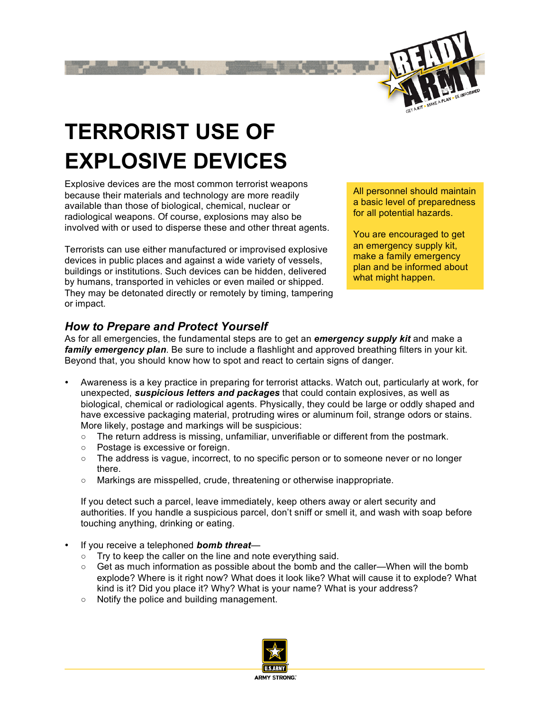

# **TERRORIST USE OF EXPLOSIVE DEVICES**

Explosive devices are the most common terrorist weapons because their materials and technology are more readily available than those of biological, chemical, nuclear or radiological weapons. Of course, explosions may also be involved with or used to disperse these and other threat agents.

Terrorists can use either manufactured or improvised explosive devices in public places and against a wide variety of vessels, buildings or institutions. Such devices can be hidden, delivered by humans, transported in vehicles or even mailed or shipped. They may be detonated directly or remotely by timing, tampering or impact.

All personnel should maintain a basic level of preparedness for all potential hazards.

You are encouraged to get an emergency supply kit, make a family emergency plan and be informed about what might happen.

## *How to Prepare and Protect Yourself*

As for all emergencies, the fundamental steps are to get an *emergency supply kit* and make a *family emergency plan*. Be sure to include a flashlight and approved breathing filters in your kit. Beyond that, you should know how to spot and react to certain signs of danger.

- Awareness is a key practice in preparing for terrorist attacks. Watch out, particularly at work, for unexpected, *suspicious letters and packages* that could contain explosives, as well as biological, chemical or radiological agents. Physically, they could be large or oddly shaped and have excessive packaging material, protruding wires or aluminum foil, strange odors or stains. More likely, postage and markings will be suspicious:
	- $\circ$  The return address is missing, unfamiliar, unverifiable or different from the postmark.
	- Postage is excessive or foreign.
	- The address is vague, incorrect, to no specific person or to someone never or no longer there.
	- Markings are misspelled, crude, threatening or otherwise inappropriate.

If you detect such a parcel, leave immediately, keep others away or alert security and authorities. If you handle a suspicious parcel, don't sniff or smell it, and wash with soap before touching anything, drinking or eating.

- If you receive a telephoned *bomb threat*
	- Try to keep the caller on the line and note everything said.
	- $\circ$  Get as much information as possible about the bomb and the caller—When will the bomb explode? Where is it right now? What does it look like? What will cause it to explode? What kind is it? Did you place it? Why? What is your name? What is your address?
	- Notify the police and building management.